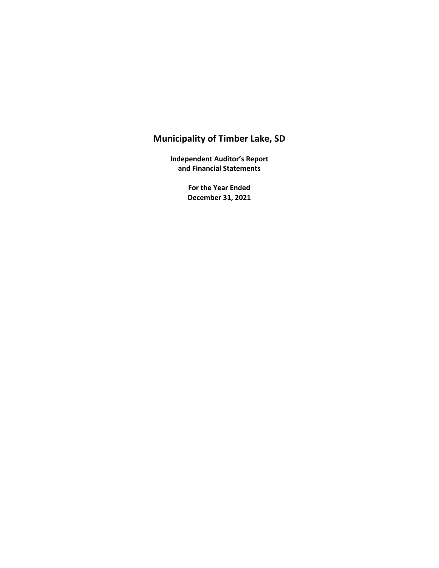**Independent Auditor's Report and Financial Statements** 

> **For the Year Ended December 31, 2021**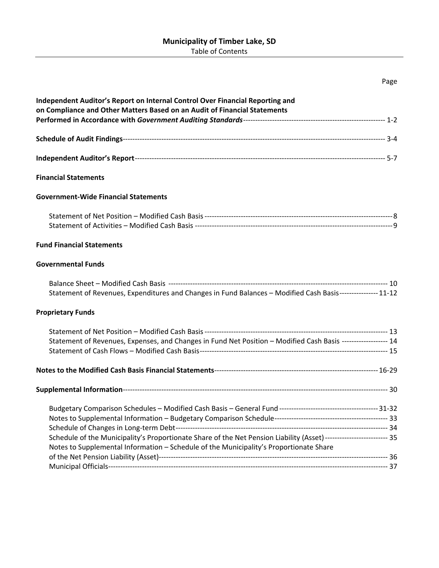| Independent Auditor's Report on Internal Control Over Financial Reporting and                                       |  |
|---------------------------------------------------------------------------------------------------------------------|--|
| on Compliance and Other Matters Based on an Audit of Financial Statements                                           |  |
|                                                                                                                     |  |
|                                                                                                                     |  |
|                                                                                                                     |  |
|                                                                                                                     |  |
| <b>Financial Statements</b>                                                                                         |  |
| <b>Government-Wide Financial Statements</b>                                                                         |  |
|                                                                                                                     |  |
|                                                                                                                     |  |
| <b>Fund Financial Statements</b>                                                                                    |  |
| <b>Governmental Funds</b>                                                                                           |  |
|                                                                                                                     |  |
| Statement of Revenues, Expenditures and Changes in Fund Balances - Modified Cash Basis---------------- 11-12        |  |
| <b>Proprietary Funds</b>                                                                                            |  |
|                                                                                                                     |  |
| Statement of Revenues, Expenses, and Changes in Fund Net Position - Modified Cash Basis ------------------ 14       |  |
|                                                                                                                     |  |
|                                                                                                                     |  |
|                                                                                                                     |  |
|                                                                                                                     |  |
|                                                                                                                     |  |
|                                                                                                                     |  |
| Schedule of the Municipality's Proportionate Share of the Net Pension Liability (Asset)------------------------- 35 |  |

Notes to Supplemental Information – Schedule of the Municipality's Proportionate Share

of the Net Pension Liability (Asset)‐‐‐‐‐‐‐‐‐‐‐‐‐‐‐‐‐‐‐‐‐‐‐‐‐‐‐‐‐‐‐‐‐‐‐‐‐‐‐‐‐‐‐‐‐‐‐‐‐‐‐‐‐‐‐‐‐‐‐‐‐‐‐‐‐‐‐‐‐‐‐‐‐‐‐‐‐‐‐‐‐‐‐‐‐‐‐‐‐‐‐‐‐‐‐ 36 Municipal Officials ‐‐‐‐‐‐‐‐‐‐‐‐‐‐‐‐‐‐‐‐‐‐‐‐‐‐‐‐‐‐‐‐‐‐‐‐‐‐‐‐‐‐‐‐‐‐‐‐‐‐‐‐‐‐‐‐‐‐‐‐‐‐‐‐‐‐‐‐‐‐‐‐‐‐‐‐‐‐‐‐‐‐‐‐‐‐‐‐‐‐‐‐‐‐‐‐‐‐‐‐‐‐‐‐‐‐‐‐‐‐‐‐‐‐‐‐ 37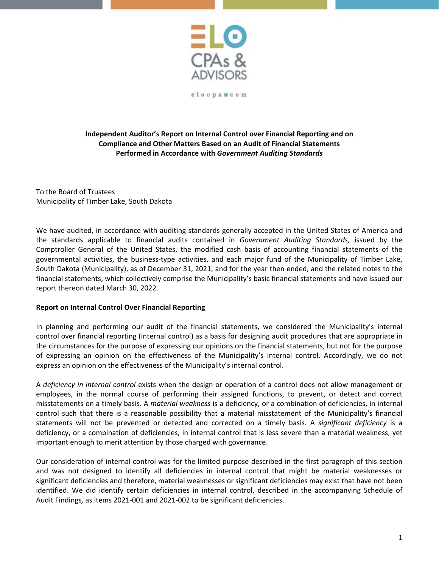

### **Independent Auditor's Report on Internal Control over Financial Reporting and on Compliance and Other Matters Based on an Audit of Financial Statements Performed in Accordance with** *Government Auditing Standards*

To the Board of Trustees Municipality of Timber Lake, South Dakota

We have audited, in accordance with auditing standards generally accepted in the United States of America and the standards applicable to financial audits contained in *Government Auditing Standards,* issued by the Comptroller General of the United States, the modified cash basis of accounting financial statements of the governmental activities, the business‐type activities, and each major fund of the Municipality of Timber Lake, South Dakota (Municipality), as of December 31, 2021, and for the year then ended, and the related notes to the financial statements, which collectively comprise the Municipality's basic financial statements and have issued our report thereon dated March 30, 2022.

#### **Report on Internal Control Over Financial Reporting**

In planning and performing our audit of the financial statements, we considered the Municipality's internal control over financial reporting (internal control) as a basis for designing audit procedures that are appropriate in the circumstances for the purpose of expressing our opinions on the financial statements, but not for the purpose of expressing an opinion on the effectiveness of the Municipality's internal control. Accordingly, we do not express an opinion on the effectiveness of the Municipality's internal control.

A *deficiency in internal control* exists when the design or operation of a control does not allow management or employees, in the normal course of performing their assigned functions, to prevent, or detect and correct misstatements on a timely basis. A *material weakness* is a deficiency, or a combination of deficiencies, in internal control such that there is a reasonable possibility that a material misstatement of the Municipality's financial statements will not be prevented or detected and corrected on a timely basis. A *significant deficiency* is a deficiency, or a combination of deficiencies, in internal control that is less severe than a material weakness, yet important enough to merit attention by those charged with governance.

Our consideration of internal control was for the limited purpose described in the first paragraph of this section and was not designed to identify all deficiencies in internal control that might be material weaknesses or significant deficiencies and therefore, material weaknesses or significant deficiencies may exist that have not been identified. We did identify certain deficiencies in internal control, described in the accompanying Schedule of Audit Findings*,* as items 2021‐001 and 2021‐002 to be significant deficiencies.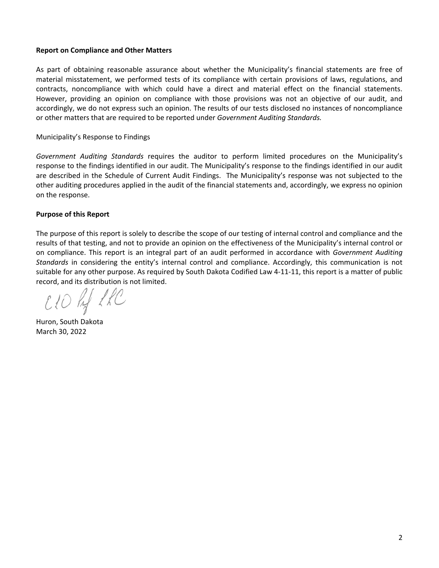#### **Report on Compliance and Other Matters**

As part of obtaining reasonable assurance about whether the Municipality's financial statements are free of material misstatement, we performed tests of its compliance with certain provisions of laws, regulations, and contracts, noncompliance with which could have a direct and material effect on the financial statements. However, providing an opinion on compliance with those provisions was not an objective of our audit, and accordingly, we do not express such an opinion. The results of our tests disclosed no instances of noncompliance or other matters that are required to be reported under *Government Auditing Standards.* 

#### Municipality's Response to Findings

*Government Auditing Standards* requires the auditor to perform limited procedures on the Municipality's response to the findings identified in our audit. The Municipality's response to the findings identified in our audit are described in the Schedule of Current Audit Findings. The Municipality's response was not subjected to the other auditing procedures applied in the audit of the financial statements and, accordingly, we express no opinion on the response.

#### **Purpose of this Report**

The purpose of this report is solely to describe the scope of our testing of internal control and compliance and the results of that testing, and not to provide an opinion on the effectiveness of the Municipality's internal control or on compliance. This report is an integral part of an audit performed in accordance with *Government Auditing Standards* in considering the entity's internal control and compliance. Accordingly, this communication is not suitable for any other purpose. As required by South Dakota Codified Law 4‐11‐11, this report is a matter of public record, and its distribution is not limited.

Huron, South Dakota March 30, 2022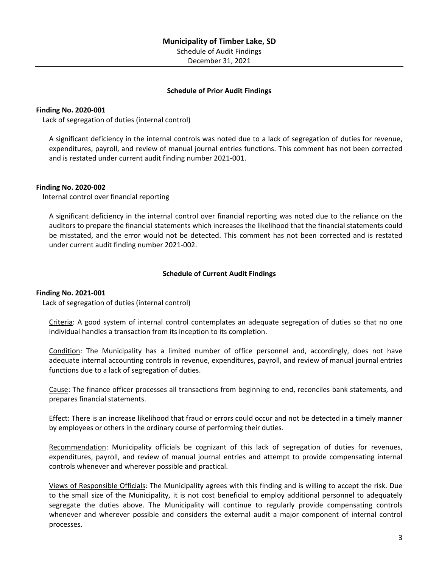#### **Schedule of Prior Audit Findings**

#### **Finding No. 2020‐001**

Lack of segregation of duties (internal control)

A significant deficiency in the internal controls was noted due to a lack of segregation of duties for revenue, expenditures, payroll, and review of manual journal entries functions. This comment has not been corrected and is restated under current audit finding number 2021‐001.

#### **Finding No. 2020‐002**

Internal control over financial reporting

A significant deficiency in the internal control over financial reporting was noted due to the reliance on the auditors to prepare the financial statements which increases the likelihood that the financial statements could be misstated, and the error would not be detected. This comment has not been corrected and is restated under current audit finding number 2021‐002.

#### **Schedule of Current Audit Findings**

#### **Finding No. 2021‐001**

Lack of segregation of duties (internal control)

Criteria: A good system of internal control contemplates an adequate segregation of duties so that no one individual handles a transaction from its inception to its completion.

Condition: The Municipality has a limited number of office personnel and, accordingly, does not have adequate internal accounting controls in revenue, expenditures, payroll, and review of manual journal entries functions due to a lack of segregation of duties.

Cause: The finance officer processes all transactions from beginning to end, reconciles bank statements, and prepares financial statements.

Effect: There is an increase likelihood that fraud or errors could occur and not be detected in a timely manner by employees or others in the ordinary course of performing their duties.

Recommendation: Municipality officials be cognizant of this lack of segregation of duties for revenues, expenditures, payroll, and review of manual journal entries and attempt to provide compensating internal controls whenever and wherever possible and practical.

Views of Responsible Officials: The Municipality agrees with this finding and is willing to accept the risk. Due to the small size of the Municipality, it is not cost beneficial to employ additional personnel to adequately segregate the duties above. The Municipality will continue to regularly provide compensating controls whenever and wherever possible and considers the external audit a major component of internal control processes.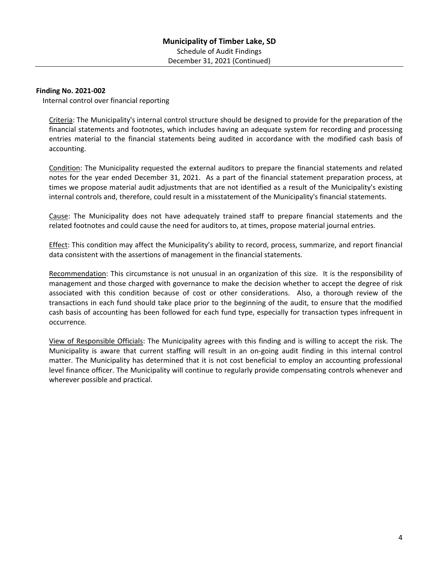#### **Finding No. 2021‐002**

Internal control over financial reporting

Criteria: The Municipality's internal control structure should be designed to provide for the preparation of the financial statements and footnotes, which includes having an adequate system for recording and processing entries material to the financial statements being audited in accordance with the modified cash basis of accounting.

Condition: The Municipality requested the external auditors to prepare the financial statements and related notes for the year ended December 31, 2021. As a part of the financial statement preparation process, at times we propose material audit adjustments that are not identified as a result of the Municipality's existing internal controls and, therefore, could result in a misstatement of the Municipality's financial statements.

Cause: The Municipality does not have adequately trained staff to prepare financial statements and the related footnotes and could cause the need for auditors to, at times, propose material journal entries.

Effect: This condition may affect the Municipality's ability to record, process, summarize, and report financial data consistent with the assertions of management in the financial statements.

Recommendation: This circumstance is not unusual in an organization of this size. It is the responsibility of management and those charged with governance to make the decision whether to accept the degree of risk associated with this condition because of cost or other considerations. Also, a thorough review of the transactions in each fund should take place prior to the beginning of the audit, to ensure that the modified cash basis of accounting has been followed for each fund type, especially for transaction types infrequent in occurrence.

View of Responsible Officials: The Municipality agrees with this finding and is willing to accept the risk. The Municipality is aware that current staffing will result in an on-going audit finding in this internal control matter. The Municipality has determined that it is not cost beneficial to employ an accounting professional level finance officer. The Municipality will continue to regularly provide compensating controls whenever and wherever possible and practical.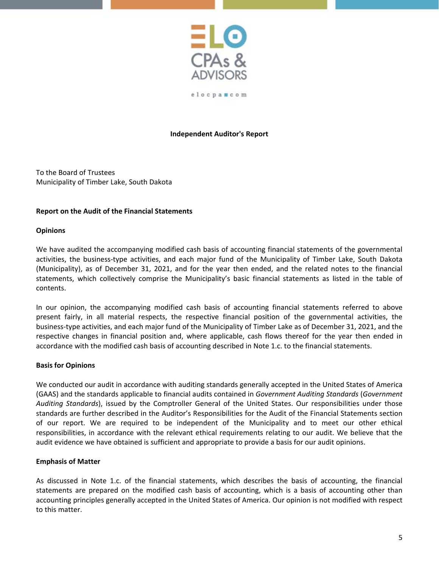

elocpancom

#### **Independent Auditor's Report**

To the Board of Trustees Municipality of Timber Lake, South Dakota

#### **Report on the Audit of the Financial Statements**

#### **Opinions**

We have audited the accompanying modified cash basis of accounting financial statements of the governmental activities, the business-type activities, and each major fund of the Municipality of Timber Lake, South Dakota (Municipality), as of December 31, 2021, and for the year then ended, and the related notes to the financial statements, which collectively comprise the Municipality's basic financial statements as listed in the table of contents.

In our opinion, the accompanying modified cash basis of accounting financial statements referred to above present fairly, in all material respects, the respective financial position of the governmental activities, the business‐type activities, and each major fund of the Municipality of Timber Lake as of December 31, 2021, and the respective changes in financial position and, where applicable, cash flows thereof for the year then ended in accordance with the modified cash basis of accounting described in Note 1.c. to the financial statements.

#### **Basis for Opinions**

We conducted our audit in accordance with auditing standards generally accepted in the United States of America (GAAS) and the standards applicable to financial audits contained in *Government Auditing Standards* (*Government Auditing Standards*), issued by the Comptroller General of the United States. Our responsibilities under those standards are further described in the Auditor's Responsibilities for the Audit of the Financial Statements section of our report. We are required to be independent of the Municipality and to meet our other ethical responsibilities, in accordance with the relevant ethical requirements relating to our audit. We believe that the audit evidence we have obtained is sufficient and appropriate to provide a basis for our audit opinions.

#### **Emphasis of Matter**

As discussed in Note 1.c. of the financial statements, which describes the basis of accounting, the financial statements are prepared on the modified cash basis of accounting, which is a basis of accounting other than accounting principles generally accepted in the United States of America. Our opinion is not modified with respect to this matter.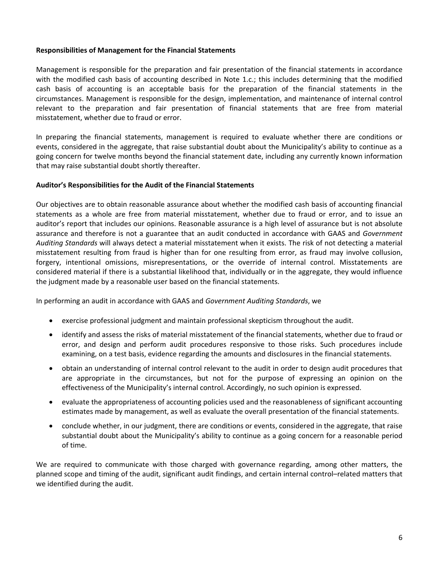#### **Responsibilities of Management for the Financial Statements**

Management is responsible for the preparation and fair presentation of the financial statements in accordance with the modified cash basis of accounting described in Note 1.c.; this includes determining that the modified cash basis of accounting is an acceptable basis for the preparation of the financial statements in the circumstances. Management is responsible for the design, implementation, and maintenance of internal control relevant to the preparation and fair presentation of financial statements that are free from material misstatement, whether due to fraud or error.

In preparing the financial statements, management is required to evaluate whether there are conditions or events, considered in the aggregate, that raise substantial doubt about the Municipality's ability to continue as a going concern for twelve months beyond the financial statement date, including any currently known information that may raise substantial doubt shortly thereafter.

#### **Auditor's Responsibilities for the Audit of the Financial Statements**

Our objectives are to obtain reasonable assurance about whether the modified cash basis of accounting financial statements as a whole are free from material misstatement, whether due to fraud or error, and to issue an auditor's report that includes our opinions. Reasonable assurance is a high level of assurance but is not absolute assurance and therefore is not a guarantee that an audit conducted in accordance with GAAS and *Government Auditing Standards* will always detect a material misstatement when it exists. The risk of not detecting a material misstatement resulting from fraud is higher than for one resulting from error, as fraud may involve collusion, forgery, intentional omissions, misrepresentations, or the override of internal control. Misstatements are considered material if there is a substantial likelihood that, individually or in the aggregate, they would influence the judgment made by a reasonable user based on the financial statements.

In performing an audit in accordance with GAAS and *Government Auditing Standards*, we

- exercise professional judgment and maintain professional skepticism throughout the audit.
- identify and assess the risks of material misstatement of the financial statements, whether due to fraud or error, and design and perform audit procedures responsive to those risks. Such procedures include examining, on a test basis, evidence regarding the amounts and disclosures in the financial statements.
- obtain an understanding of internal control relevant to the audit in order to design audit procedures that are appropriate in the circumstances, but not for the purpose of expressing an opinion on the effectiveness of the Municipality's internal control. Accordingly, no such opinion is expressed.
- evaluate the appropriateness of accounting policies used and the reasonableness of significant accounting estimates made by management, as well as evaluate the overall presentation of the financial statements.
- conclude whether, in our judgment, there are conditions or events, considered in the aggregate, that raise substantial doubt about the Municipality's ability to continue as a going concern for a reasonable period of time.

We are required to communicate with those charged with governance regarding, among other matters, the planned scope and timing of the audit, significant audit findings, and certain internal control–related matters that we identified during the audit.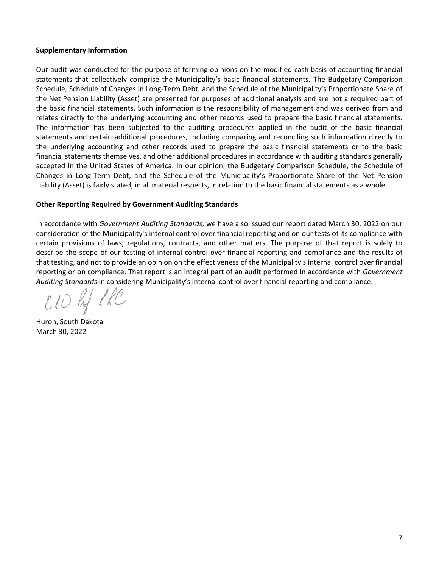#### **Supplementary Information**

Our audit was conducted for the purpose of forming opinions on the modified cash basis of accounting financial statements that collectively comprise the Municipality's basic financial statements. The Budgetary Comparison Schedule, Schedule of Changes in Long‐Term Debt, and the Schedule of the Municipality's Proportionate Share of the Net Pension Liability (Asset) are presented for purposes of additional analysis and are not a required part of the basic financial statements. Such information is the responsibility of management and was derived from and relates directly to the underlying accounting and other records used to prepare the basic financial statements. The information has been subjected to the auditing procedures applied in the audit of the basic financial statements and certain additional procedures, including comparing and reconciling such information directly to the underlying accounting and other records used to prepare the basic financial statements or to the basic financial statements themselves, and other additional procedures in accordance with auditing standards generally accepted in the United States of America. In our opinion, the Budgetary Comparison Schedule, the Schedule of Changes in Long‐Term Debt, and the Schedule of the Municipality's Proportionate Share of the Net Pension Liability (Asset) is fairly stated, in all material respects, in relation to the basic financial statements as a whole.

#### **Other Reporting Required by Government Auditing Standards**

In accordance with *Government Auditing Standards*, we have also issued our report dated March 30, 2022 on our consideration of the Municipality's internal control over financial reporting and on our tests of its compliance with certain provisions of laws, regulations, contracts, and other matters. The purpose of that report is solely to describe the scope of our testing of internal control over financial reporting and compliance and the results of that testing, and not to provide an opinion on the effectiveness of the Municipality's internal control over financial reporting or on compliance. That report is an integral part of an audit performed in accordance with *Government Auditing Standards* in considering Municipality's internal control over financial reporting and compliance.

Huron, South Dakota March 30, 2022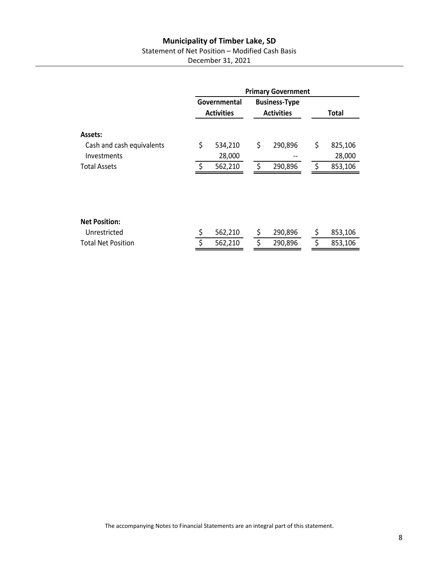### Statement of Net Position – Modified Cash Basis

December 31, 2021

|                           |         | <b>Primary Government</b>         |         |                                           |    |              |  |  |  |  |
|---------------------------|---------|-----------------------------------|---------|-------------------------------------------|----|--------------|--|--|--|--|
|                           |         | Governmental<br><b>Activities</b> |         | <b>Business-Type</b><br><b>Activities</b> |    | <b>Total</b> |  |  |  |  |
| Assets:                   |         |                                   |         |                                           |    |              |  |  |  |  |
| Cash and cash equivalents | \$      | 534,210                           | \$      | 290,896                                   | \$ | 825,106      |  |  |  |  |
| Investments               |         | 28,000                            |         |                                           |    | 28,000       |  |  |  |  |
| <b>Total Assets</b>       | $\zeta$ | 562,210                           | $\zeta$ | 290,896                                   | \$ | 853,106      |  |  |  |  |
|                           |         |                                   |         |                                           |    |              |  |  |  |  |
| <b>Net Position:</b>      |         |                                   |         |                                           |    |              |  |  |  |  |
| Unrestricted              | \$      | 562,210                           | \$      | 290,896                                   | \$ | 853,106      |  |  |  |  |
| <b>Total Net Position</b> | \$      | 562,210                           | \$      | 290,896                                   | \$ | 853,106      |  |  |  |  |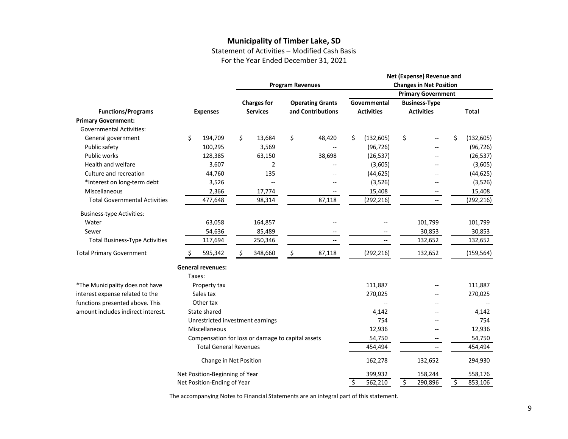Statement of Activities – Modified Cash Basis

For the Year Ended December 31, 2021

| Net (Expense) Revenue and             |    |                                                   |    |                          |                         |                          |                                |                   |    |                               |    |              |
|---------------------------------------|----|---------------------------------------------------|----|--------------------------|-------------------------|--------------------------|--------------------------------|-------------------|----|-------------------------------|----|--------------|
|                                       |    |                                                   |    |                          | <b>Program Revenues</b> |                          | <b>Changes in Net Position</b> |                   |    |                               |    |              |
|                                       |    |                                                   |    |                          |                         |                          |                                |                   |    | <b>Primary Government</b>     |    |              |
|                                       |    |                                                   |    | <b>Charges for</b>       |                         | <b>Operating Grants</b>  |                                | Governmental      |    | <b>Business-Type</b>          |    |              |
| <b>Functions/Programs</b>             |    | <b>Expenses</b>                                   |    | <b>Services</b>          |                         | and Contributions        |                                | <b>Activities</b> |    | <b>Activities</b>             |    | <b>Total</b> |
| <b>Primary Government:</b>            |    |                                                   |    |                          |                         |                          |                                |                   |    |                               |    |              |
| <b>Governmental Activities:</b>       |    |                                                   |    |                          |                         |                          |                                |                   |    |                               |    |              |
| General government                    | \$ | 194,709                                           | \$ | 13,684                   | \$                      | 48,420                   | \$                             | (132, 605)        | \$ |                               | \$ | (132, 605)   |
| Public safety                         |    | 100,295                                           |    | 3,569                    |                         |                          |                                | (96, 726)         |    |                               |    | (96, 726)    |
| Public works                          |    | 128,385                                           |    | 63,150                   |                         | 38,698                   |                                | (26, 537)         |    |                               |    | (26, 537)    |
| Health and welfare                    |    | 3,607                                             |    | 2                        |                         |                          |                                | (3,605)           |    |                               |    | (3,605)      |
| Culture and recreation                |    | 44,760                                            |    | 135                      |                         |                          |                                | (44, 625)         |    | --                            |    | (44, 625)    |
| *Interest on long-term debt           |    | 3,526                                             |    | $\overline{\phantom{a}}$ |                         |                          |                                | (3,526)           |    | --                            |    | (3,526)      |
| Miscellaneous                         |    | 2,366                                             |    | 17,774                   |                         |                          |                                | 15,408            |    | $\hspace{0.05cm} \textbf{--}$ |    | 15,408       |
| <b>Total Governmental Activities</b>  |    | 477,648                                           |    | 98,314                   |                         | 87,118                   |                                | (292, 216)        |    | $\overline{\phantom{a}}$      |    | (292, 216)   |
| <b>Business-type Activities:</b>      |    |                                                   |    |                          |                         |                          |                                |                   |    |                               |    |              |
| Water                                 |    | 63,058                                            |    | 164,857                  |                         |                          |                                |                   |    | 101,799                       |    | 101,799      |
| Sewer                                 |    | 54,636                                            |    | 85,489                   |                         |                          |                                |                   |    | 30,853                        |    | 30,853       |
| <b>Total Business-Type Activities</b> |    | 117,694                                           |    | 250,346                  |                         | $\overline{\phantom{a}}$ |                                |                   |    | 132,652                       |    | 132,652      |
| <b>Total Primary Government</b>       |    | 595,342                                           | \$ | 348,660                  | \$                      | 87,118                   |                                | (292, 216)        |    | 132,652                       |    | (159, 564)   |
|                                       |    | <b>General revenues:</b>                          |    |                          |                         |                          |                                |                   |    |                               |    |              |
|                                       |    | Taxes:                                            |    |                          |                         |                          |                                |                   |    |                               |    |              |
| *The Municipality does not have       |    | Property tax                                      |    |                          |                         |                          |                                | 111,887           |    |                               |    | 111,887      |
| interest expense related to the       |    | Sales tax                                         |    |                          |                         |                          |                                | 270,025           |    |                               |    | 270,025      |
| functions presented above. This       |    | Other tax                                         |    |                          |                         |                          |                                |                   |    |                               |    |              |
| amount includes indirect interest.    |    | State shared                                      |    |                          |                         |                          |                                | 4,142             |    |                               |    | 4,142        |
|                                       |    | Unrestricted investment earnings                  |    |                          |                         |                          |                                | 754               |    |                               |    | 754          |
|                                       |    | Miscellaneous                                     |    |                          |                         |                          |                                | 12,936            |    |                               |    | 12,936       |
|                                       |    | Compensation for loss or damage to capital assets |    |                          |                         |                          |                                | 54,750            |    |                               |    | 54,750       |
|                                       |    | <b>Total General Revenues</b>                     |    |                          |                         |                          |                                | 454,494           |    | $\overline{\phantom{a}}$      |    | 454,494      |
|                                       |    | Change in Net Position                            |    |                          |                         |                          |                                | 162,278           |    | 132,652                       |    | 294,930      |
|                                       |    | Net Position-Beginning of Year                    |    |                          |                         |                          |                                | 399,932           |    | 158,244                       |    | 558,176      |
|                                       |    | Net Position-Ending of Year                       |    |                          |                         |                          | \$                             | 562,210           | \$ | 290,896                       | \$ | 853,106      |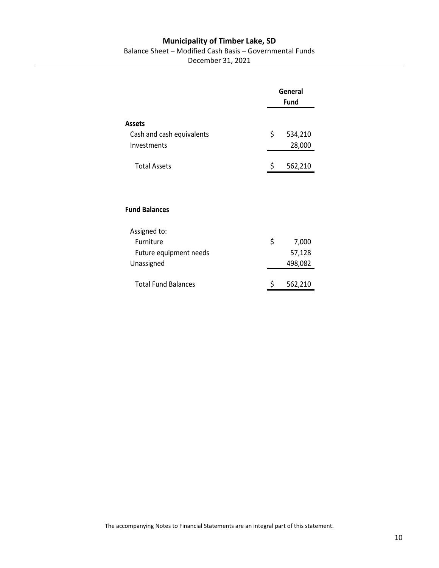|                                            | General<br><b>Fund</b> |         |  |  |
|--------------------------------------------|------------------------|---------|--|--|
| <b>Assets</b><br>Cash and cash equivalents | \$                     | 534,210 |  |  |
| Investments                                |                        | 28,000  |  |  |
| <b>Total Assets</b>                        | \$                     | 562,210 |  |  |
|                                            |                        |         |  |  |
| <b>Fund Balances</b>                       |                        |         |  |  |
| Assigned to:                               |                        |         |  |  |
| Furniture                                  | \$                     | 7,000   |  |  |
| Future equipment needs                     |                        | 57,128  |  |  |
| Unassigned                                 |                        | 498,082 |  |  |
| <b>Total Fund Balances</b>                 | \$                     | 562,210 |  |  |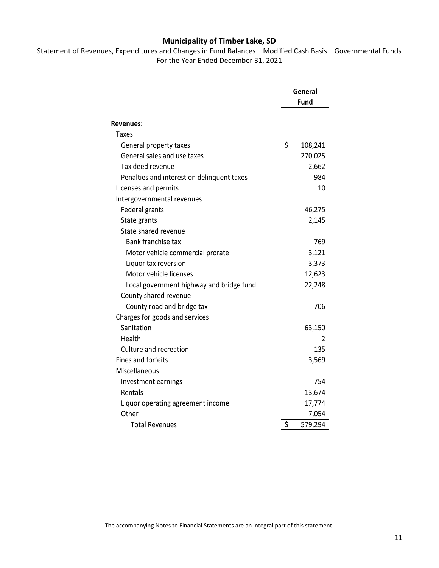Statement of Revenues, Expenditures and Changes in Fund Balances – Modified Cash Basis – Governmental Funds For the Year Ended December 31, 2021

|                                            | General<br><b>Fund</b> |               |  |  |  |
|--------------------------------------------|------------------------|---------------|--|--|--|
| <b>Revenues:</b>                           |                        |               |  |  |  |
| Taxes                                      |                        |               |  |  |  |
| General property taxes                     | \$                     | 108,241       |  |  |  |
| General sales and use taxes                |                        | 270,025       |  |  |  |
| Tax deed revenue                           |                        | 2,662         |  |  |  |
| Penalties and interest on delinquent taxes |                        | 984           |  |  |  |
| Licenses and permits                       |                        | 10            |  |  |  |
| Intergovernmental revenues                 |                        |               |  |  |  |
| Federal grants                             |                        | 46,275        |  |  |  |
| State grants                               |                        | 2,145         |  |  |  |
| State shared revenue                       |                        |               |  |  |  |
| Bank franchise tax                         |                        | 769           |  |  |  |
| Motor vehicle commercial prorate           |                        | 3,121         |  |  |  |
| Liquor tax reversion                       |                        | 3,373         |  |  |  |
| Motor vehicle licenses                     |                        | 12,623        |  |  |  |
| Local government highway and bridge fund   |                        | 22,248        |  |  |  |
| County shared revenue                      |                        |               |  |  |  |
| County road and bridge tax                 |                        | 706           |  |  |  |
| Charges for goods and services             |                        |               |  |  |  |
| Sanitation                                 |                        | 63,150        |  |  |  |
| Health                                     |                        | $\mathcal{P}$ |  |  |  |
| Culture and recreation                     |                        | 135           |  |  |  |
| Fines and forfeits                         |                        | 3,569         |  |  |  |
| Miscellaneous                              |                        |               |  |  |  |
| Investment earnings                        |                        | 754           |  |  |  |
| Rentals                                    |                        | 13,674        |  |  |  |
| Liquor operating agreement income          |                        | 17,774        |  |  |  |
| Other                                      |                        | 7,054         |  |  |  |
| <b>Total Revenues</b>                      | \$                     | 579,294       |  |  |  |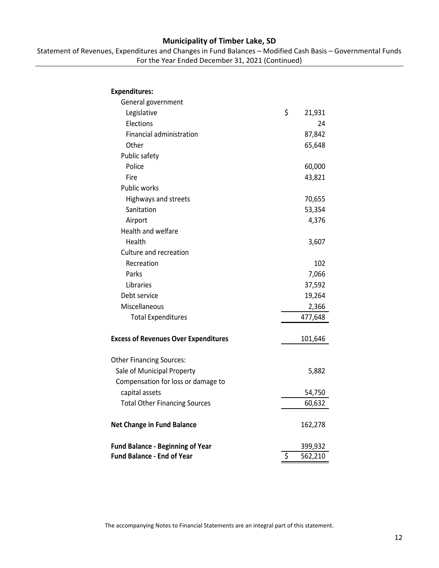Statement of Revenues, Expenditures and Changes in Fund Balances – Modified Cash Basis – Governmental Funds For the Year Ended December 31, 2021 (Continued)

| <b>Expenditures:</b>                        |               |  |
|---------------------------------------------|---------------|--|
| General government                          |               |  |
| Legislative                                 | \$<br>21,931  |  |
| Elections                                   | 24            |  |
| Financial administration                    | 87,842        |  |
| Other                                       | 65,648        |  |
| Public safety                               |               |  |
| Police                                      | 60,000        |  |
| Fire                                        | 43,821        |  |
| Public works                                |               |  |
| Highways and streets                        | 70,655        |  |
| Sanitation                                  | 53,354        |  |
| Airport                                     | 4,376         |  |
| Health and welfare                          |               |  |
| Health                                      | 3,607         |  |
| Culture and recreation                      |               |  |
| Recreation                                  | 102           |  |
| Parks                                       | 7,066         |  |
| Libraries                                   | 37,592        |  |
| Debt service                                | 19,264        |  |
| Miscellaneous                               | 2,366         |  |
| <b>Total Expenditures</b>                   | 477,648       |  |
| <b>Excess of Revenues Over Expenditures</b> | 101,646       |  |
| <b>Other Financing Sources:</b>             |               |  |
| Sale of Municipal Property                  | 5,882         |  |
| Compensation for loss or damage to          |               |  |
| capital assets                              | 54,750        |  |
| <b>Total Other Financing Sources</b>        | 60,632        |  |
| <b>Net Change in Fund Balance</b>           | 162,278       |  |
| <b>Fund Balance - Beginning of Year</b>     | 399,932       |  |
| <b>Fund Balance - End of Year</b>           | \$<br>562,210 |  |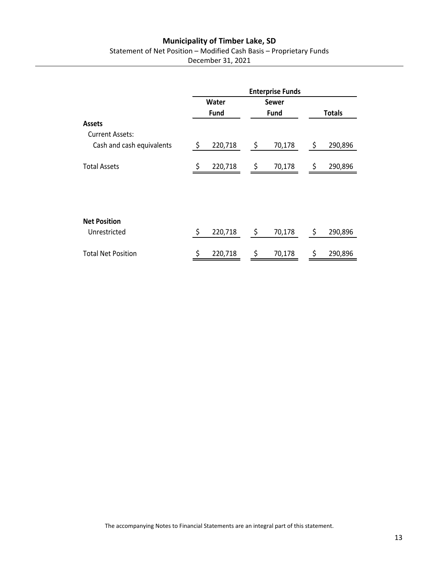Statement of Net Position – Modified Cash Basis – Proprietary Funds

December 31, 2021

|                           | <b>Enterprise Funds</b> |         |               |        |    |               |  |  |
|---------------------------|-------------------------|---------|---------------|--------|----|---------------|--|--|
|                           | Water                   |         |               | Sewer  |    |               |  |  |
|                           |                         | Fund    |               | Fund   |    | <b>Totals</b> |  |  |
| <b>Assets</b>             |                         |         |               |        |    |               |  |  |
| <b>Current Assets:</b>    |                         |         |               |        |    |               |  |  |
| Cash and cash equivalents | \$                      | 220,718 | \$            | 70,178 | \$ | 290,896       |  |  |
| <b>Total Assets</b>       | Ś                       | 220,718 | \$            | 70,178 | Ś  | 290,896       |  |  |
|                           |                         |         |               |        |    |               |  |  |
|                           |                         |         |               |        |    |               |  |  |
| <b>Net Position</b>       |                         |         |               |        |    |               |  |  |
| Unrestricted              | \$                      | 220,718 | $\frac{1}{2}$ | 70,178 | \$ | 290,896       |  |  |
| <b>Total Net Position</b> | \$                      | 220,718 | \$            | 70,178 | \$ | 290,896       |  |  |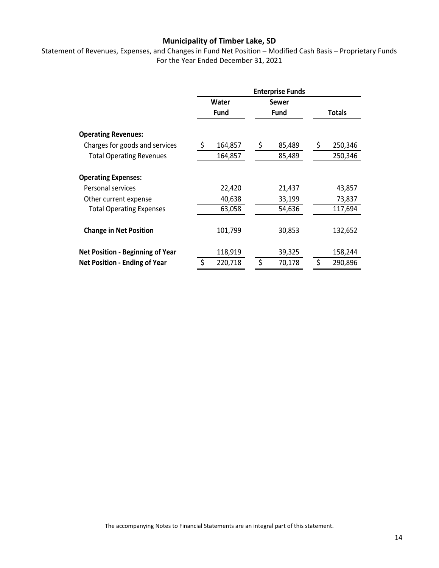Statement of Revenues, Expenses, and Changes in Fund Net Position – Modified Cash Basis – Proprietary Funds For the Year Ended December 31, 2021

|                                                                                                             | <b>Enterprise Funds</b> |                            |    |                             |    |                             |  |  |
|-------------------------------------------------------------------------------------------------------------|-------------------------|----------------------------|----|-----------------------------|----|-----------------------------|--|--|
|                                                                                                             |                         | Water<br><b>Fund</b>       |    | <b>Sewer</b><br><b>Fund</b> |    | <b>Totals</b>               |  |  |
| <b>Operating Revenues:</b><br>Charges for goods and services                                                | \$                      | 164,857                    | \$ | 85,489                      | \$ | 250,346                     |  |  |
| <b>Total Operating Revenues</b>                                                                             |                         | 164,857                    |    | 85,489                      |    | 250,346                     |  |  |
| <b>Operating Expenses:</b><br>Personal services<br>Other current expense<br><b>Total Operating Expenses</b> |                         | 22,420<br>40,638<br>63,058 |    | 21,437<br>33,199<br>54,636  |    | 43,857<br>73,837<br>117,694 |  |  |
| <b>Change in Net Position</b>                                                                               |                         | 101,799                    |    | 30,853                      |    | 132,652                     |  |  |
| <b>Net Position - Beginning of Year</b><br><b>Net Position - Ending of Year</b>                             | \$                      | 118,919<br>220,718         | \$ | 39,325<br>70,178            | \$ | 158,244<br>290,896          |  |  |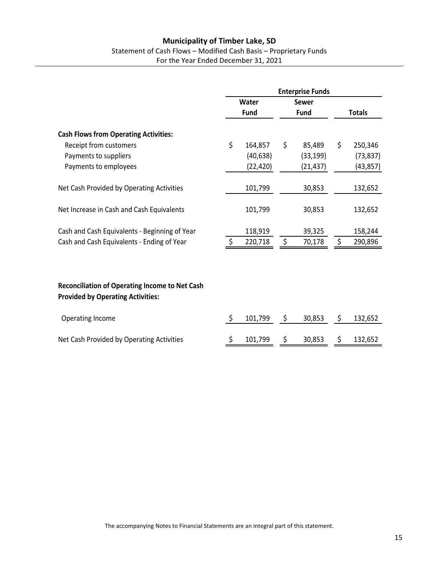### Statement of Cash Flows – Modified Cash Basis – Proprietary Funds

For the Year Ended December 31, 2021

| Water<br><b>Sewer</b><br>Fund<br>Fund<br><b>Cash Flows from Operating Activities:</b>                                                                                                                                     | <b>Totals</b>                     |
|---------------------------------------------------------------------------------------------------------------------------------------------------------------------------------------------------------------------------|-----------------------------------|
|                                                                                                                                                                                                                           |                                   |
|                                                                                                                                                                                                                           |                                   |
| \$<br>\$<br>\$<br>164,857<br>85,489<br>Receipt from customers<br>(40, 638)<br>Payments to suppliers<br>(33, 199)<br>Payments to employees<br>(22, 420)<br>(21, 437)                                                       | 250,346<br>(73, 837)<br>(43, 857) |
| Net Cash Provided by Operating Activities<br>101,799<br>30,853                                                                                                                                                            | 132,652                           |
| 101,799<br>30,853<br>Net Increase in Cash and Cash Equivalents<br>118,919<br>Cash and Cash Equivalents - Beginning of Year<br>39,325<br>\$<br>Ś.<br>\$<br>Cash and Cash Equivalents - Ending of Year<br>220,718<br>70,178 | 132,652<br>158,244<br>290,896     |
| <b>Reconciliation of Operating Income to Net Cash</b><br><b>Provided by Operating Activities:</b><br>\$<br>\$<br>\$<br>Operating Income<br>101,799<br>30,853                                                              | 132,652                           |
|                                                                                                                                                                                                                           |                                   |
| \$<br>Net Cash Provided by Operating Activities<br>\$<br>101,799<br>30,853<br>\$                                                                                                                                          | 132,652                           |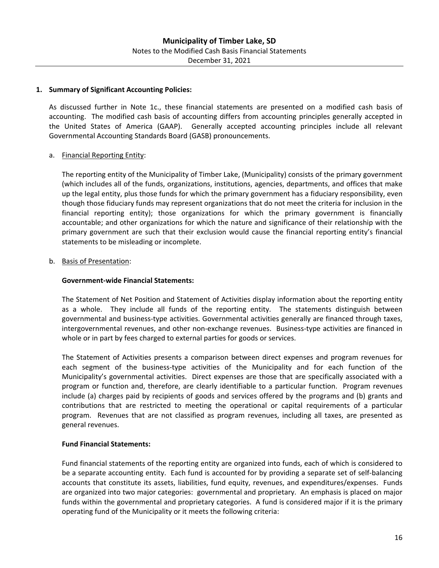#### **1. Summary of Significant Accounting Policies:**

As discussed further in Note 1c., these financial statements are presented on a modified cash basis of accounting. The modified cash basis of accounting differs from accounting principles generally accepted in the United States of America (GAAP). Generally accepted accounting principles include all relevant Governmental Accounting Standards Board (GASB) pronouncements.

#### a. Financial Reporting Entity:

The reporting entity of the Municipality of Timber Lake, (Municipality) consists of the primary government (which includes all of the funds, organizations, institutions, agencies, departments, and offices that make up the legal entity, plus those funds for which the primary government has a fiduciary responsibility, even though those fiduciary funds may represent organizations that do not meet the criteria for inclusion in the financial reporting entity); those organizations for which the primary government is financially accountable; and other organizations for which the nature and significance of their relationship with the primary government are such that their exclusion would cause the financial reporting entity's financial statements to be misleading or incomplete.

#### b. Basis of Presentation:

#### **Government‐wide Financial Statements:**

The Statement of Net Position and Statement of Activities display information about the reporting entity as a whole. They include all funds of the reporting entity. The statements distinguish between governmental and business‐type activities. Governmental activities generally are financed through taxes, intergovernmental revenues, and other non-exchange revenues. Business-type activities are financed in whole or in part by fees charged to external parties for goods or services.

The Statement of Activities presents a comparison between direct expenses and program revenues for each segment of the business-type activities of the Municipality and for each function of the Municipality's governmental activities. Direct expenses are those that are specifically associated with a program or function and, therefore, are clearly identifiable to a particular function. Program revenues include (a) charges paid by recipients of goods and services offered by the programs and (b) grants and contributions that are restricted to meeting the operational or capital requirements of a particular program. Revenues that are not classified as program revenues, including all taxes, are presented as general revenues.

#### **Fund Financial Statements:**

Fund financial statements of the reporting entity are organized into funds, each of which is considered to be a separate accounting entity. Each fund is accounted for by providing a separate set of self-balancing accounts that constitute its assets, liabilities, fund equity, revenues, and expenditures/expenses. Funds are organized into two major categories: governmental and proprietary. An emphasis is placed on major funds within the governmental and proprietary categories. A fund is considered major if it is the primary operating fund of the Municipality or it meets the following criteria: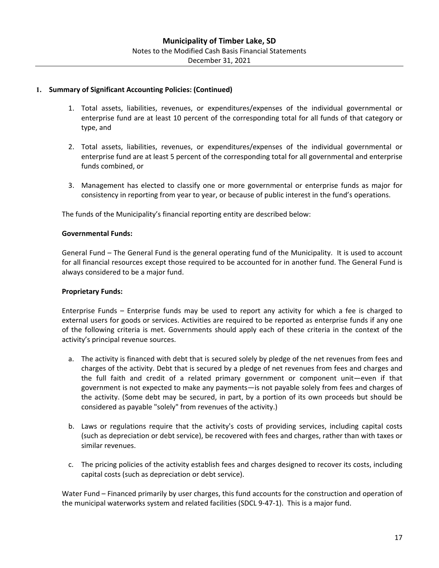- 1. Total assets, liabilities, revenues, or expenditures/expenses of the individual governmental or enterprise fund are at least 10 percent of the corresponding total for all funds of that category or type, and
- 2. Total assets, liabilities, revenues, or expenditures/expenses of the individual governmental or enterprise fund are at least 5 percent of the corresponding total for all governmental and enterprise funds combined, or
- 3. Management has elected to classify one or more governmental or enterprise funds as major for consistency in reporting from year to year, or because of public interest in the fund's operations.

The funds of the Municipality's financial reporting entity are described below:

#### **Governmental Funds:**

General Fund – The General Fund is the general operating fund of the Municipality. It is used to account for all financial resources except those required to be accounted for in another fund. The General Fund is always considered to be a major fund.

#### **Proprietary Funds:**

Enterprise Funds – Enterprise funds may be used to report any activity for which a fee is charged to external users for goods or services. Activities are required to be reported as enterprise funds if any one of the following criteria is met. Governments should apply each of these criteria in the context of the activity's principal revenue sources.

- a. The activity is financed with debt that is secured solely by pledge of the net revenues from fees and charges of the activity. Debt that is secured by a pledge of net revenues from fees and charges and the full faith and credit of a related primary government or component unit—even if that government is not expected to make any payments—is not payable solely from fees and charges of the activity. (Some debt may be secured, in part, by a portion of its own proceeds but should be considered as payable "solely" from revenues of the activity.)
- b. Laws or regulations require that the activity's costs of providing services, including capital costs (such as depreciation or debt service), be recovered with fees and charges, rather than with taxes or similar revenues.
- c. The pricing policies of the activity establish fees and charges designed to recover its costs, including capital costs (such as depreciation or debt service).

Water Fund – Financed primarily by user charges, this fund accounts for the construction and operation of the municipal waterworks system and related facilities (SDCL 9‐47‐1). This is a major fund.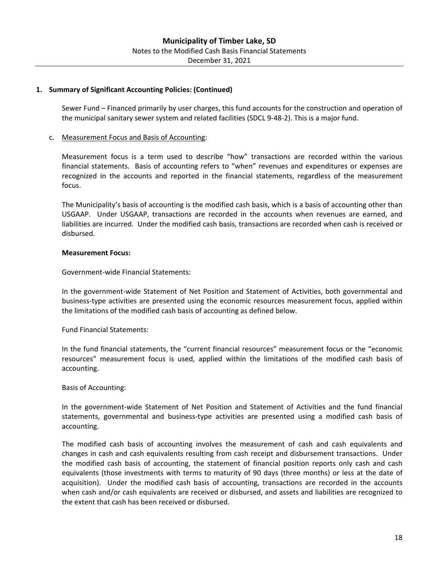Sewer Fund – Financed primarily by user charges, this fund accounts for the construction and operation of the municipal sanitary sewer system and related facilities (SDCL 9‐48‐2). This is a major fund.

#### c. Measurement Focus and Basis of Accounting:

Measurement focus is a term used to describe "how" transactions are recorded within the various financial statements. Basis of accounting refers to "when" revenues and expenditures or expenses are recognized in the accounts and reported in the financial statements, regardless of the measurement focus.

The Municipality's basis of accounting is the modified cash basis, which is a basis of accounting other than USGAAP. Under USGAAP, transactions are recorded in the accounts when revenues are earned, and liabilities are incurred. Under the modified cash basis, transactions are recorded when cash is received or disbursed.

#### **Measurement Focus:**

Government‐wide Financial Statements:

In the government‐wide Statement of Net Position and Statement of Activities, both governmental and business‐type activities are presented using the economic resources measurement focus, applied within the limitations of the modified cash basis of accounting as defined below.

Fund Financial Statements:

In the fund financial statements, the "current financial resources" measurement focus or the "economic resources" measurement focus is used, applied within the limitations of the modified cash basis of accounting.

#### Basis of Accounting:

In the government‐wide Statement of Net Position and Statement of Activities and the fund financial statements, governmental and business‐type activities are presented using a modified cash basis of accounting.

The modified cash basis of accounting involves the measurement of cash and cash equivalents and changes in cash and cash equivalents resulting from cash receipt and disbursement transactions. Under the modified cash basis of accounting, the statement of financial position reports only cash and cash equivalents (those investments with terms to maturity of 90 days (three months) or less at the date of acquisition). Under the modified cash basis of accounting, transactions are recorded in the accounts when cash and/or cash equivalents are received or disbursed, and assets and liabilities are recognized to the extent that cash has been received or disbursed.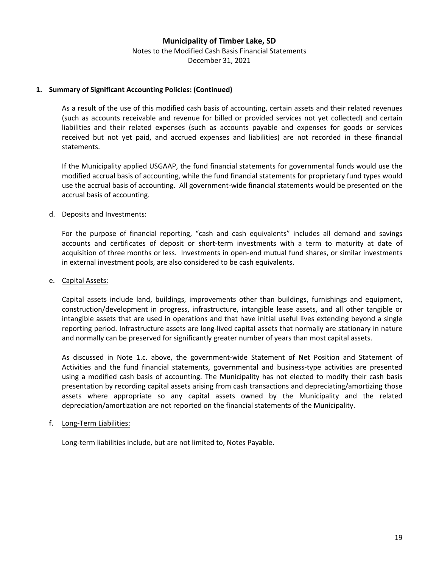As a result of the use of this modified cash basis of accounting, certain assets and their related revenues (such as accounts receivable and revenue for billed or provided services not yet collected) and certain liabilities and their related expenses (such as accounts payable and expenses for goods or services received but not yet paid, and accrued expenses and liabilities) are not recorded in these financial statements.

If the Municipality applied USGAAP, the fund financial statements for governmental funds would use the modified accrual basis of accounting, while the fund financial statements for proprietary fund types would use the accrual basis of accounting. All government‐wide financial statements would be presented on the accrual basis of accounting.

#### d. Deposits and Investments:

For the purpose of financial reporting, "cash and cash equivalents" includes all demand and savings accounts and certificates of deposit or short‐term investments with a term to maturity at date of acquisition of three months or less. Investments in open-end mutual fund shares, or similar investments in external investment pools, are also considered to be cash equivalents.

#### e. Capital Assets:

Capital assets include land, buildings, improvements other than buildings, furnishings and equipment, construction/development in progress, infrastructure, intangible lease assets, and all other tangible or intangible assets that are used in operations and that have initial useful lives extending beyond a single reporting period. Infrastructure assets are long‐lived capital assets that normally are stationary in nature and normally can be preserved for significantly greater number of years than most capital assets.

As discussed in Note 1.c. above, the government‐wide Statement of Net Position and Statement of Activities and the fund financial statements, governmental and business-type activities are presented using a modified cash basis of accounting. The Municipality has not elected to modify their cash basis presentation by recording capital assets arising from cash transactions and depreciating/amortizing those assets where appropriate so any capital assets owned by the Municipality and the related depreciation/amortization are not reported on the financial statements of the Municipality.

f. Long‐Term Liabilities:

Long‐term liabilities include, but are not limited to, Notes Payable.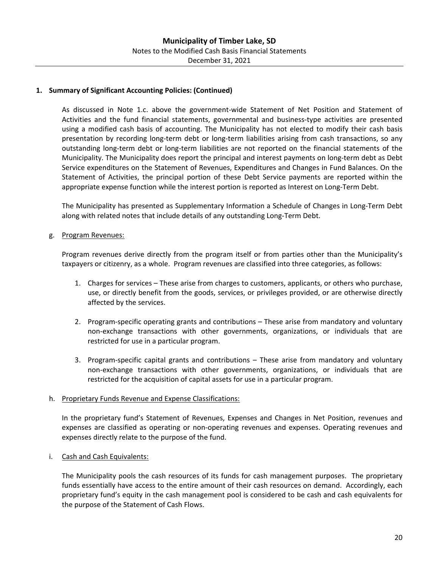As discussed in Note 1.c. above the government-wide Statement of Net Position and Statement of Activities and the fund financial statements, governmental and business-type activities are presented using a modified cash basis of accounting. The Municipality has not elected to modify their cash basis presentation by recording long-term debt or long-term liabilities arising from cash transactions, so any outstanding long‐term debt or long‐term liabilities are not reported on the financial statements of the Municipality. The Municipality does report the principal and interest payments on long‐term debt as Debt Service expenditures on the Statement of Revenues, Expenditures and Changes in Fund Balances. On the Statement of Activities, the principal portion of these Debt Service payments are reported within the appropriate expense function while the interest portion is reported as Interest on Long‐Term Debt.

The Municipality has presented as Supplementary Information a Schedule of Changes in Long‐Term Debt along with related notes that include details of any outstanding Long‐Term Debt.

#### g. Program Revenues:

Program revenues derive directly from the program itself or from parties other than the Municipality's taxpayers or citizenry, as a whole. Program revenues are classified into three categories, as follows:

- 1. Charges for services These arise from charges to customers, applicants, or others who purchase, use, or directly benefit from the goods, services, or privileges provided, or are otherwise directly affected by the services.
- 2. Program‐specific operating grants and contributions These arise from mandatory and voluntary non-exchange transactions with other governments, organizations, or individuals that are restricted for use in a particular program.
- 3. Program‐specific capital grants and contributions These arise from mandatory and voluntary non-exchange transactions with other governments, organizations, or individuals that are restricted for the acquisition of capital assets for use in a particular program.

#### h. Proprietary Funds Revenue and Expense Classifications:

In the proprietary fund's Statement of Revenues, Expenses and Changes in Net Position, revenues and expenses are classified as operating or non-operating revenues and expenses. Operating revenues and expenses directly relate to the purpose of the fund.

#### i. Cash and Cash Equivalents:

The Municipality pools the cash resources of its funds for cash management purposes. The proprietary funds essentially have access to the entire amount of their cash resources on demand. Accordingly, each proprietary fund's equity in the cash management pool is considered to be cash and cash equivalents for the purpose of the Statement of Cash Flows.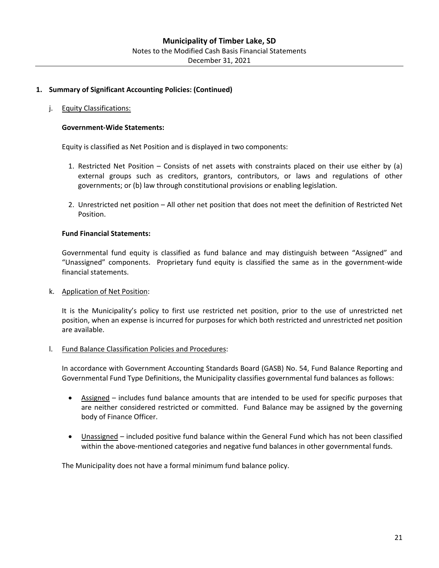#### j. Equity Classifications:

#### **Government‐Wide Statements:**

Equity is classified as Net Position and is displayed in two components:

- 1. Restricted Net Position Consists of net assets with constraints placed on their use either by (a) external groups such as creditors, grantors, contributors, or laws and regulations of other governments; or (b) law through constitutional provisions or enabling legislation.
- 2. Unrestricted net position All other net position that does not meet the definition of Restricted Net Position.

#### **Fund Financial Statements:**

Governmental fund equity is classified as fund balance and may distinguish between "Assigned" and "Unassigned" components. Proprietary fund equity is classified the same as in the government‐wide financial statements.

#### k. Application of Net Position:

It is the Municipality's policy to first use restricted net position, prior to the use of unrestricted net position, when an expense is incurred for purposes for which both restricted and unrestricted net position are available.

l. Fund Balance Classification Policies and Procedures:

In accordance with Government Accounting Standards Board (GASB) No. 54, Fund Balance Reporting and Governmental Fund Type Definitions, the Municipality classifies governmental fund balances as follows:

- Assigned includes fund balance amounts that are intended to be used for specific purposes that are neither considered restricted or committed. Fund Balance may be assigned by the governing body of Finance Officer.
- Unassigned included positive fund balance within the General Fund which has not been classified within the above-mentioned categories and negative fund balances in other governmental funds.

The Municipality does not have a formal minimum fund balance policy.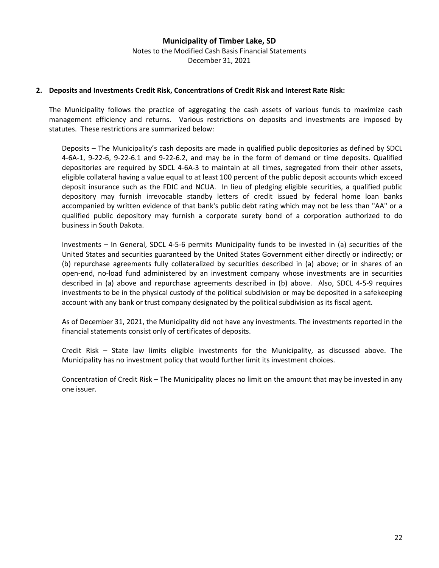#### **2. Deposits and Investments Credit Risk, Concentrations of Credit Risk and Interest Rate Risk:**

The Municipality follows the practice of aggregating the cash assets of various funds to maximize cash management efficiency and returns. Various restrictions on deposits and investments are imposed by statutes. These restrictions are summarized below:

Deposits – The Municipality's cash deposits are made in qualified public depositories as defined by SDCL 4‐6A‐1, 9‐22‐6, 9‐22‐6.1 and 9‐22‐6.2, and may be in the form of demand or time deposits. Qualified depositories are required by SDCL 4-6A-3 to maintain at all times, segregated from their other assets, eligible collateral having a value equal to at least 100 percent of the public deposit accounts which exceed deposit insurance such as the FDIC and NCUA. In lieu of pledging eligible securities, a qualified public depository may furnish irrevocable standby letters of credit issued by federal home loan banks accompanied by written evidence of that bank's public debt rating which may not be less than "AA" or a qualified public depository may furnish a corporate surety bond of a corporation authorized to do business in South Dakota.

Investments – In General, SDCL 4‐5‐6 permits Municipality funds to be invested in (a) securities of the United States and securities guaranteed by the United States Government either directly or indirectly; or (b) repurchase agreements fully collateralized by securities described in (a) above; or in shares of an open‐end, no‐load fund administered by an investment company whose investments are in securities described in (a) above and repurchase agreements described in (b) above. Also, SDCL 4-5-9 requires investments to be in the physical custody of the political subdivision or may be deposited in a safekeeping account with any bank or trust company designated by the political subdivision as its fiscal agent.

As of December 31, 2021, the Municipality did not have any investments. The investments reported in the financial statements consist only of certificates of deposits.

Credit Risk – State law limits eligible investments for the Municipality, as discussed above. The Municipality has no investment policy that would further limit its investment choices.

Concentration of Credit Risk – The Municipality places no limit on the amount that may be invested in any one issuer.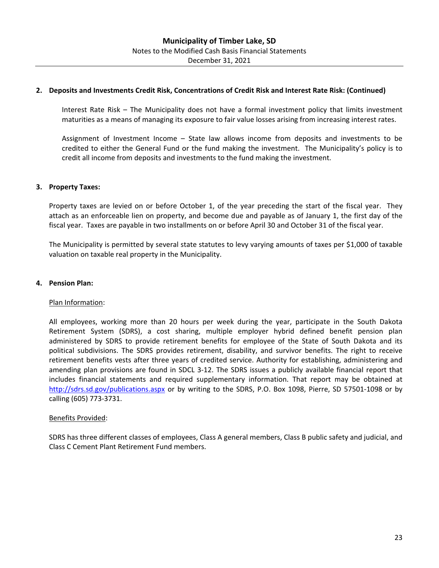#### **2. Deposits and Investments Credit Risk, Concentrations of Credit Risk and Interest Rate Risk: (Continued)**

Interest Rate Risk – The Municipality does not have a formal investment policy that limits investment maturities as a means of managing its exposure to fair value losses arising from increasing interest rates.

Assignment of Investment Income – State law allows income from deposits and investments to be credited to either the General Fund or the fund making the investment. The Municipality's policy is to credit all income from deposits and investments to the fund making the investment.

#### **3. Property Taxes:**

Property taxes are levied on or before October 1, of the year preceding the start of the fiscal year. They attach as an enforceable lien on property, and become due and payable as of January 1, the first day of the fiscal year. Taxes are payable in two installments on or before April 30 and October 31 of the fiscal year.

The Municipality is permitted by several state statutes to levy varying amounts of taxes per \$1,000 of taxable valuation on taxable real property in the Municipality.

#### **4. Pension Plan:**

#### Plan Information:

All employees, working more than 20 hours per week during the year, participate in the South Dakota Retirement System (SDRS), a cost sharing, multiple employer hybrid defined benefit pension plan administered by SDRS to provide retirement benefits for employee of the State of South Dakota and its political subdivisions. The SDRS provides retirement, disability, and survivor benefits. The right to receive retirement benefits vests after three years of credited service. Authority for establishing, administering and amending plan provisions are found in SDCL 3-12. The SDRS issues a publicly available financial report that includes financial statements and required supplementary information. That report may be obtained at http://sdrs.sd.gov/publications.aspx or by writing to the SDRS, P.O. Box 1098, Pierre, SD 57501-1098 or by calling (605) 773‐3731.

#### Benefits Provided:

SDRS has three different classes of employees, Class A general members, Class B public safety and judicial, and Class C Cement Plant Retirement Fund members.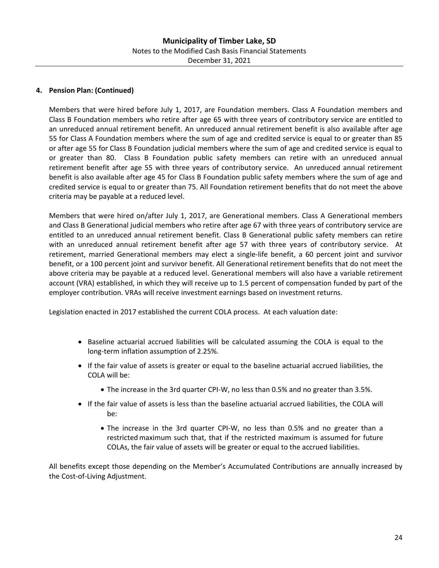Members that were hired before July 1, 2017, are Foundation members. Class A Foundation members and Class B Foundation members who retire after age 65 with three years of contributory service are entitled to an unreduced annual retirement benefit. An unreduced annual retirement benefit is also available after age 55 for Class A Foundation members where the sum of age and credited service is equal to or greater than 85 or after age 55 for Class B Foundation judicial members where the sum of age and credited service is equal to or greater than 80. Class B Foundation public safety members can retire with an unreduced annual retirement benefit after age 55 with three years of contributory service. An unreduced annual retirement benefit is also available after age 45 for Class B Foundation public safety members where the sum of age and credited service is equal to or greater than 75. All Foundation retirement benefits that do not meet the above criteria may be payable at a reduced level.

Members that were hired on/after July 1, 2017, are Generational members. Class A Generational members and Class B Generational judicial members who retire after age 67 with three years of contributory service are entitled to an unreduced annual retirement benefit. Class B Generational public safety members can retire with an unreduced annual retirement benefit after age 57 with three years of contributory service. At retirement, married Generational members may elect a single-life benefit, a 60 percent joint and survivor benefit, or a 100 percent joint and survivor benefit. All Generational retirement benefits that do not meet the above criteria may be payable at a reduced level. Generational members will also have a variable retirement account (VRA) established, in which they will receive up to 1.5 percent of compensation funded by part of the employer contribution. VRAs will receive investment earnings based on investment returns.

Legislation enacted in 2017 established the current COLA process. At each valuation date:

- Baseline actuarial accrued liabilities will be calculated assuming the COLA is equal to the long‐term inflation assumption of 2.25%.
- If the fair value of assets is greater or equal to the baseline actuarial accrued liabilities, the COLA will be:
	- The increase in the 3rd quarter CPI‐W, no less than 0.5% and no greater than 3.5%.
- If the fair value of assets is less than the baseline actuarial accrued liabilities, the COLA will be:
	- The increase in the 3rd quarter CPI-W, no less than 0.5% and no greater than a restricted maximum such that, that if the restricted maximum is assumed for future COLAs, the fair value of assets will be greater or equal to the accrued liabilities.

All benefits except those depending on the Member's Accumulated Contributions are annually increased by the Cost‐of‐Living Adjustment.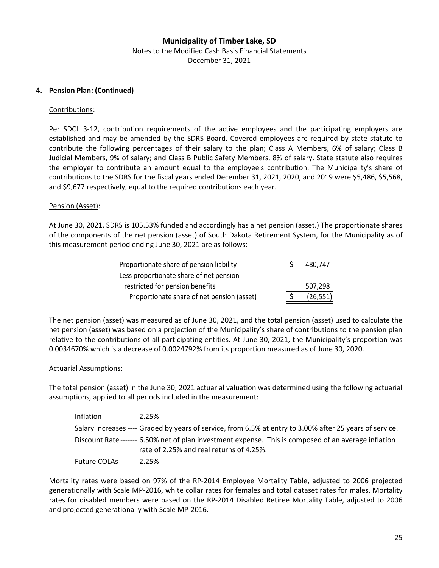#### Contributions:

Per SDCL 3-12, contribution requirements of the active employees and the participating employers are established and may be amended by the SDRS Board. Covered employees are required by state statute to contribute the following percentages of their salary to the plan; Class A Members, 6% of salary; Class B Judicial Members, 9% of salary; and Class B Public Safety Members, 8% of salary. State statute also requires the employer to contribute an amount equal to the employee's contribution. The Municipality's share of contributions to the SDRS for the fiscal years ended December 31, 2021, 2020, and 2019 were \$5,486, \$5,568, and \$9,677 respectively, equal to the required contributions each year.

#### Pension (Asset):

At June 30, 2021, SDRS is 105.53% funded and accordingly has a net pension (asset.) The proportionate shares of the components of the net pension (asset) of South Dakota Retirement System, for the Municipality as of this measurement period ending June 30, 2021 are as follows:

| Proportionate share of pension liability   | 480,747   |
|--------------------------------------------|-----------|
| Less proportionate share of net pension    |           |
| restricted for pension benefits            | 507,298   |
| Proportionate share of net pension (asset) | (26, 551) |

The net pension (asset) was measured as of June 30, 2021, and the total pension (asset) used to calculate the net pension (asset) was based on a projection of the Municipality's share of contributions to the pension plan relative to the contributions of all participating entities. At June 30, 2021, the Municipality's proportion was 0.0034670% which is a decrease of 0.0024792% from its proportion measured as of June 30, 2020.

#### Actuarial Assumptions:

The total pension (asset) in the June 30, 2021 actuarial valuation was determined using the following actuarial assumptions, applied to all periods included in the measurement:

 Inflation ‐‐‐‐‐‐‐‐‐‐‐‐‐‐ 2.25% Salary Increases ‐‐‐‐ Graded by years of service, from 6.5% at entry to 3.00% after 25 years of service. Discount Rate ------ 6.50% net of plan investment expense. This is composed of an average inflation rate of 2.25% and real returns of 4.25%. Future COLAs ‐‐‐‐‐‐‐ 2.25%

Mortality rates were based on 97% of the RP-2014 Employee Mortality Table, adjusted to 2006 projected generationally with Scale MP‐2016, white collar rates for females and total dataset rates for males. Mortality rates for disabled members were based on the RP‐2014 Disabled Retiree Mortality Table, adjusted to 2006 and projected generationally with Scale MP‐2016.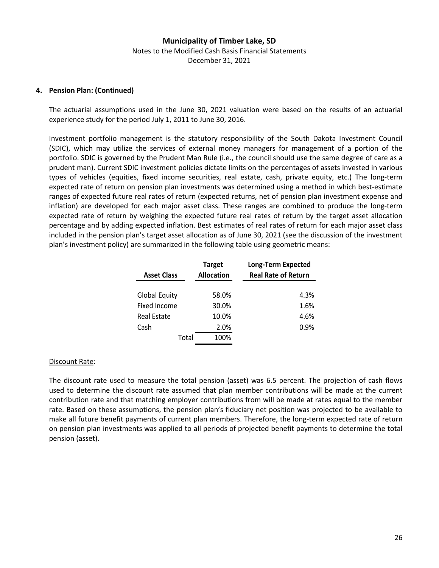The actuarial assumptions used in the June 30, 2021 valuation were based on the results of an actuarial experience study for the period July 1, 2011 to June 30, 2016.

Investment portfolio management is the statutory responsibility of the South Dakota Investment Council (SDIC), which may utilize the services of external money managers for management of a portion of the portfolio. SDIC is governed by the Prudent Man Rule (i.e., the council should use the same degree of care as a prudent man). Current SDIC investment policies dictate limits on the percentages of assets invested in various types of vehicles (equities, fixed income securities, real estate, cash, private equity, etc.) The long-term expected rate of return on pension plan investments was determined using a method in which best‐estimate ranges of expected future real rates of return (expected returns, net of pension plan investment expense and inflation) are developed for each major asset class. These ranges are combined to produce the long-term expected rate of return by weighing the expected future real rates of return by the target asset allocation percentage and by adding expected inflation. Best estimates of real rates of return for each major asset class included in the pension plan's target asset allocation as of June 30, 2021 (see the discussion of the investment plan's investment policy) are summarized in the following table using geometric means:

| <b>Target</b><br><b>Allocation</b> | <b>Long-Term Expected</b><br><b>Real Rate of Return</b> |
|------------------------------------|---------------------------------------------------------|
| 58.0%                              | 4.3%                                                    |
| 30.0%                              | 1.6%                                                    |
| 10.0%                              | 4.6%                                                    |
| 2.0%                               | 0.9%                                                    |
| 100%                               |                                                         |
|                                    |                                                         |

#### Discount Rate:

The discount rate used to measure the total pension (asset) was 6.5 percent. The projection of cash flows used to determine the discount rate assumed that plan member contributions will be made at the current contribution rate and that matching employer contributions from will be made at rates equal to the member rate. Based on these assumptions, the pension plan's fiduciary net position was projected to be available to make all future benefit payments of current plan members. Therefore, the long-term expected rate of return on pension plan investments was applied to all periods of projected benefit payments to determine the total pension (asset).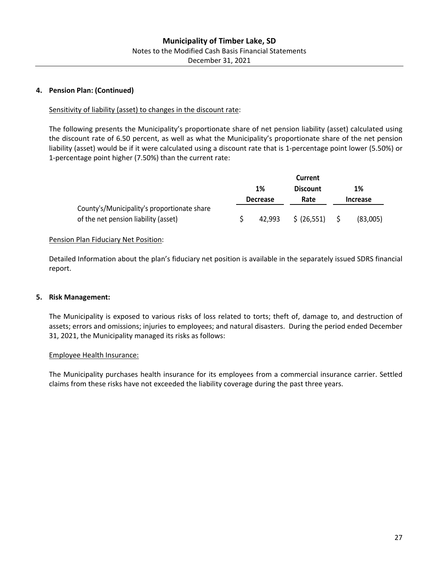#### Sensitivity of liability (asset) to changes in the discount rate:

The following presents the Municipality's proportionate share of net pension liability (asset) calculated using the discount rate of 6.50 percent, as well as what the Municipality's proportionate share of the net pension liability (asset) would be if it were calculated using a discount rate that is 1-percentage point lower (5.50%) or 1‐percentage point higher (7.50%) than the current rate:

|                                             |                       | Current                 |                       |
|---------------------------------------------|-----------------------|-------------------------|-----------------------|
|                                             | 1%<br><b>Decrease</b> | <b>Discount</b><br>Rate | 1%<br><b>Increase</b> |
| County's/Municipality's proportionate share |                       |                         |                       |
| of the net pension liability (asset)        | 42.993                | \$ (26,551)             | (83,005)              |

#### Pension Plan Fiduciary Net Position:

Detailed Information about the plan's fiduciary net position is available in the separately issued SDRS financial report.

#### **5. Risk Management:**

The Municipality is exposed to various risks of loss related to torts; theft of, damage to, and destruction of assets; errors and omissions; injuries to employees; and natural disasters. During the period ended December 31, 2021, the Municipality managed its risks as follows:

#### Employee Health Insurance:

The Municipality purchases health insurance for its employees from a commercial insurance carrier. Settled claims from these risks have not exceeded the liability coverage during the past three years.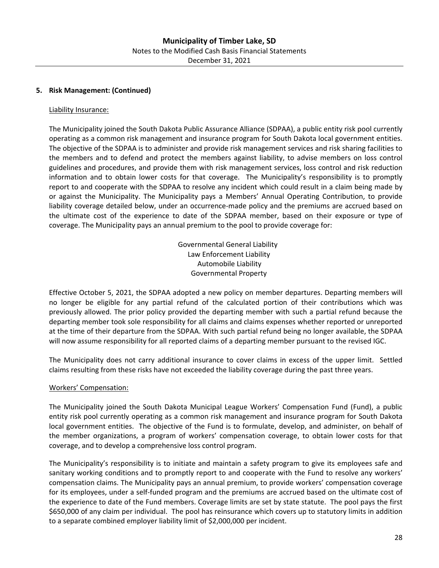#### **5. Risk Management: (Continued)**

#### Liability Insurance:

The Municipality joined the South Dakota Public Assurance Alliance (SDPAA), a public entity risk pool currently operating as a common risk management and insurance program for South Dakota local government entities. The objective of the SDPAA is to administer and provide risk management services and risk sharing facilities to the members and to defend and protect the members against liability, to advise members on loss control guidelines and procedures, and provide them with risk management services, loss control and risk reduction information and to obtain lower costs for that coverage. The Municipality's responsibility is to promptly report to and cooperate with the SDPAA to resolve any incident which could result in a claim being made by or against the Municipality. The Municipality pays a Members' Annual Operating Contribution, to provide liability coverage detailed below, under an occurrence-made policy and the premiums are accrued based on the ultimate cost of the experience to date of the SDPAA member, based on their exposure or type of coverage. The Municipality pays an annual premium to the pool to provide coverage for:

> Governmental General Liability Law Enforcement Liability Automobile Liability Governmental Property

Effective October 5, 2021, the SDPAA adopted a new policy on member departures. Departing members will no longer be eligible for any partial refund of the calculated portion of their contributions which was previously allowed. The prior policy provided the departing member with such a partial refund because the departing member took sole responsibility for all claims and claims expenses whether reported or unreported at the time of their departure from the SDPAA. With such partial refund being no longer available, the SDPAA will now assume responsibility for all reported claims of a departing member pursuant to the revised IGC.

The Municipality does not carry additional insurance to cover claims in excess of the upper limit. Settled claims resulting from these risks have not exceeded the liability coverage during the past three years.

#### Workers' Compensation:

The Municipality joined the South Dakota Municipal League Workers' Compensation Fund (Fund), a public entity risk pool currently operating as a common risk management and insurance program for South Dakota local government entities. The objective of the Fund is to formulate, develop, and administer, on behalf of the member organizations, a program of workers' compensation coverage, to obtain lower costs for that coverage, and to develop a comprehensive loss control program.

The Municipality's responsibility is to initiate and maintain a safety program to give its employees safe and sanitary working conditions and to promptly report to and cooperate with the Fund to resolve any workers' compensation claims. The Municipality pays an annual premium, to provide workers' compensation coverage for its employees, under a self-funded program and the premiums are accrued based on the ultimate cost of the experience to date of the Fund members. Coverage limits are set by state statute. The pool pays the first \$650,000 of any claim per individual. The pool has reinsurance which covers up to statutory limits in addition to a separate combined employer liability limit of \$2,000,000 per incident.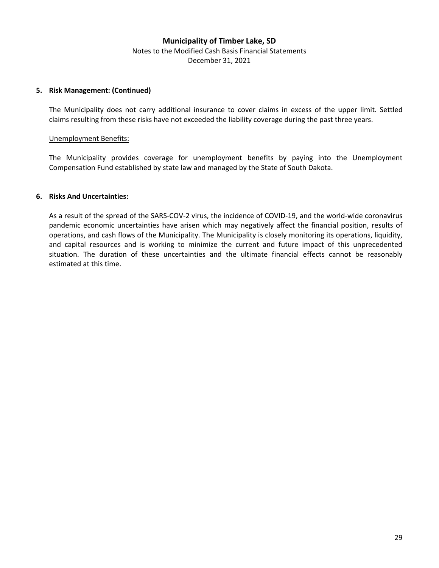#### **5. Risk Management: (Continued)**

The Municipality does not carry additional insurance to cover claims in excess of the upper limit. Settled claims resulting from these risks have not exceeded the liability coverage during the past three years.

#### Unemployment Benefits:

The Municipality provides coverage for unemployment benefits by paying into the Unemployment Compensation Fund established by state law and managed by the State of South Dakota.

#### **6. Risks And Uncertainties:**

As a result of the spread of the SARS‐COV‐2 virus, the incidence of COVID‐19, and the world‐wide coronavirus pandemic economic uncertainties have arisen which may negatively affect the financial position, results of operations, and cash flows of the Municipality. The Municipality is closely monitoring its operations, liquidity, and capital resources and is working to minimize the current and future impact of this unprecedented situation. The duration of these uncertainties and the ultimate financial effects cannot be reasonably estimated at this time.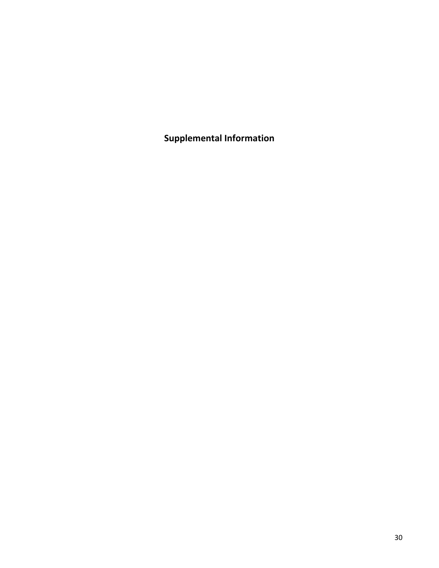**Supplemental Information**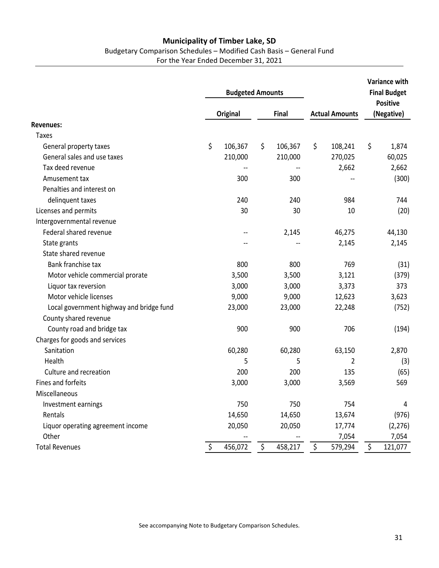### Budgetary Comparison Schedules – Modified Cash Basis – General Fund

For the Year Ended December 31, 2021

|                                          | <b>Budgeted Amounts</b> |               |    |                       |      | <b>Variance with</b><br><b>Final Budget</b><br><b>Positive</b> |  |  |
|------------------------------------------|-------------------------|---------------|----|-----------------------|------|----------------------------------------------------------------|--|--|
|                                          | Original                | Final         |    | <b>Actual Amounts</b> |      | (Negative)                                                     |  |  |
| <b>Revenues:</b>                         |                         |               |    |                       |      |                                                                |  |  |
| <b>Taxes</b>                             |                         |               |    |                       |      |                                                                |  |  |
| General property taxes                   | \$<br>106,367           | \$<br>106,367 | \$ | 108,241               | \$   | 1,874                                                          |  |  |
| General sales and use taxes              | 210,000                 | 210,000       |    | 270,025               |      | 60,025                                                         |  |  |
| Tax deed revenue                         |                         |               |    | 2,662                 |      | 2,662                                                          |  |  |
| Amusement tax                            | 300                     | 300           |    |                       |      | (300)                                                          |  |  |
| Penalties and interest on                |                         |               |    |                       |      |                                                                |  |  |
| delinquent taxes                         | 240                     | 240           |    | 984                   |      | 744                                                            |  |  |
| Licenses and permits                     | 30                      | 30            |    | 10                    | (20) |                                                                |  |  |
| Intergovernmental revenue                |                         |               |    |                       |      |                                                                |  |  |
| Federal shared revenue                   |                         | 2,145         |    | 46,275                |      | 44,130                                                         |  |  |
| State grants                             |                         |               |    | 2,145                 |      | 2,145                                                          |  |  |
| State shared revenue                     |                         |               |    |                       |      |                                                                |  |  |
| Bank franchise tax                       | 800                     | 800           |    | 769                   |      | (31)                                                           |  |  |
| Motor vehicle commercial prorate         | 3,500                   | 3,500         |    | 3,121                 |      | (379)                                                          |  |  |
| Liquor tax reversion                     | 3,000                   | 3,000         |    | 3,373                 |      | 373                                                            |  |  |
| Motor vehicle licenses                   | 9,000                   | 9,000         |    | 12,623                |      | 3,623                                                          |  |  |
| Local government highway and bridge fund | 23,000                  | 23,000        |    | 22,248                |      | (752)                                                          |  |  |
| County shared revenue                    |                         |               |    |                       |      |                                                                |  |  |
| County road and bridge tax               | 900                     | 900           |    | 706                   |      | (194)                                                          |  |  |
| Charges for goods and services           |                         |               |    |                       |      |                                                                |  |  |
| Sanitation                               | 60,280                  | 60,280        |    | 63,150                |      | 2,870                                                          |  |  |
| Health                                   | 5                       | 5             |    | 2                     |      | (3)                                                            |  |  |
| Culture and recreation                   | 200                     | 200           |    | 135                   |      | (65)                                                           |  |  |
| Fines and forfeits                       | 3,000                   | 3,000         |    | 3,569                 |      | 569                                                            |  |  |
| Miscellaneous                            |                         |               |    |                       |      |                                                                |  |  |
| Investment earnings                      | 750                     | 750           |    | 754                   |      | 4                                                              |  |  |
| Rentals                                  | 14,650                  | 14,650        |    | 13,674                |      | (976)                                                          |  |  |
| Liquor operating agreement income        | 20,050                  | 20,050        |    | 17,774                |      | (2, 276)                                                       |  |  |
| Other                                    |                         |               |    | 7,054                 |      | 7,054                                                          |  |  |
| <b>Total Revenues</b>                    | \$<br>456,072           | \$<br>458,217 | \$ | 579,294               | \$   | 121,077                                                        |  |  |

See accompanying Note to Budgetary Comparison Schedules.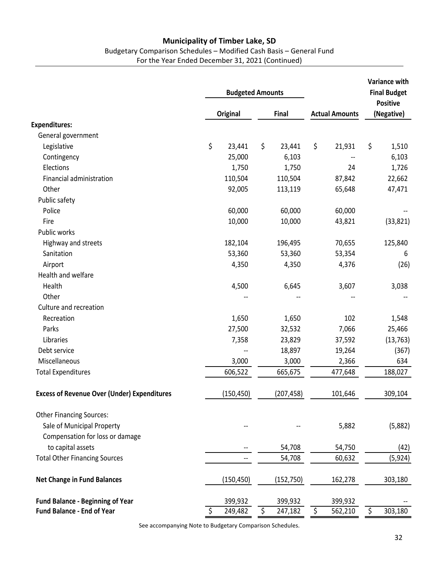### Budgetary Comparison Schedules – Modified Cash Basis – General Fund

For the Year Ended December 31, 2021 (Continued)

|                                                    | <b>Budgeted Amounts</b> |                 |    |            |                       |         |                               | Variance with<br><b>Final Budget</b> |
|----------------------------------------------------|-------------------------|-----------------|----|------------|-----------------------|---------|-------------------------------|--------------------------------------|
|                                                    |                         | <b>Original</b> |    | Final      | <b>Actual Amounts</b> |         | <b>Positive</b><br>(Negative) |                                      |
| <b>Expenditures:</b>                               |                         |                 |    |            |                       |         |                               |                                      |
| General government                                 |                         |                 |    |            |                       |         |                               |                                      |
| Legislative                                        | \$                      | 23,441          | \$ | 23,441     | \$                    | 21,931  | \$                            | 1,510                                |
| Contingency                                        |                         | 25,000          |    | 6,103      |                       |         |                               | 6,103                                |
| Elections                                          |                         | 1,750           |    | 1,750      |                       | 24      |                               | 1,726                                |
| Financial administration                           |                         | 110,504         |    | 110,504    |                       | 87,842  |                               | 22,662                               |
| Other                                              |                         | 92,005          |    | 113,119    |                       | 65,648  |                               | 47,471                               |
| Public safety                                      |                         |                 |    |            |                       |         |                               |                                      |
| Police                                             |                         | 60,000          |    | 60,000     |                       | 60,000  |                               |                                      |
| Fire                                               |                         | 10,000          |    | 10,000     |                       | 43,821  |                               | (33, 821)                            |
| Public works                                       |                         |                 |    |            |                       |         |                               |                                      |
| Highway and streets                                |                         | 182,104         |    | 196,495    |                       | 70,655  |                               | 125,840                              |
| Sanitation                                         |                         | 53,360          |    | 53,360     |                       | 53,354  |                               | 6                                    |
| Airport                                            |                         | 4,350           |    | 4,350      |                       | 4,376   |                               | (26)                                 |
| Health and welfare                                 |                         |                 |    |            |                       |         |                               |                                      |
| Health                                             |                         | 4,500           |    | 6,645      |                       | 3,607   |                               | 3,038                                |
| Other                                              |                         |                 |    |            |                       |         |                               |                                      |
| Culture and recreation                             |                         |                 |    |            |                       |         |                               |                                      |
| Recreation                                         |                         | 1,650           |    | 1,650      |                       | 102     |                               | 1,548                                |
| Parks                                              |                         | 27,500          |    | 32,532     |                       | 7,066   |                               | 25,466                               |
| Libraries                                          |                         | 7,358           |    | 23,829     |                       | 37,592  |                               | (13, 763)                            |
| Debt service                                       |                         |                 |    | 18,897     |                       | 19,264  |                               | (367)                                |
| Miscellaneous                                      |                         | 3,000           |    | 3,000      |                       | 2,366   |                               | 634                                  |
| <b>Total Expenditures</b>                          |                         | 606,522         |    | 665,675    |                       | 477,648 |                               | 188,027                              |
| <b>Excess of Revenue Over (Under) Expenditures</b> |                         | (150, 450)      |    | (207, 458) |                       | 101,646 |                               | 309,104                              |
| <b>Other Financing Sources:</b>                    |                         |                 |    |            |                       |         |                               |                                      |
| Sale of Municipal Property                         |                         |                 |    |            |                       | 5,882   |                               | (5,882)                              |
| Compensation for loss or damage                    |                         |                 |    |            |                       |         |                               |                                      |
| to capital assets                                  |                         |                 |    | 54,708     |                       | 54,750  |                               | (42)                                 |
| <b>Total Other Financing Sources</b>               |                         |                 |    | 54,708     |                       | 60,632  |                               | (5, 924)                             |
| <b>Net Change in Fund Balances</b>                 |                         | (150, 450)      |    | (152, 750) |                       | 162,278 |                               | 303,180                              |
| <b>Fund Balance - Beginning of Year</b>            |                         | 399,932         |    | 399,932    |                       | 399,932 |                               |                                      |
| <b>Fund Balance - End of Year</b>                  | S                       | 249,482         | \$ | 247,182    | \$                    | 562,210 | \$                            | 303,180                              |

See accompanying Note to Budgetary Comparison Schedules.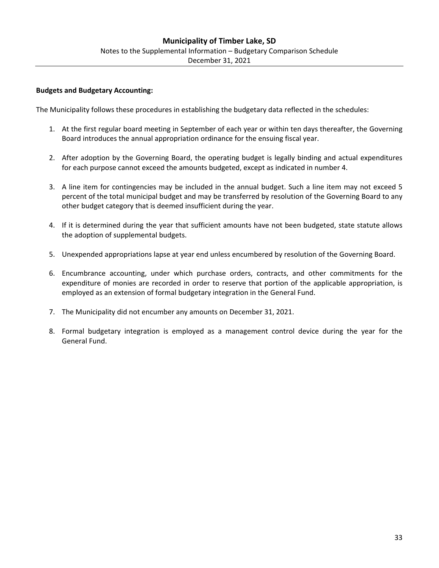Notes to the Supplemental Information – Budgetary Comparison Schedule

December 31, 2021

#### **Budgets and Budgetary Accounting:**

The Municipality follows these procedures in establishing the budgetary data reflected in the schedules:

- 1. At the first regular board meeting in September of each year or within ten days thereafter, the Governing Board introduces the annual appropriation ordinance for the ensuing fiscal year.
- 2. After adoption by the Governing Board, the operating budget is legally binding and actual expenditures for each purpose cannot exceed the amounts budgeted, except as indicated in number 4.
- 3. A line item for contingencies may be included in the annual budget. Such a line item may not exceed 5 percent of the total municipal budget and may be transferred by resolution of the Governing Board to any other budget category that is deemed insufficient during the year.
- 4. If it is determined during the year that sufficient amounts have not been budgeted, state statute allows the adoption of supplemental budgets.
- 5. Unexpended appropriations lapse at year end unless encumbered by resolution of the Governing Board.
- 6. Encumbrance accounting, under which purchase orders, contracts, and other commitments for the expenditure of monies are recorded in order to reserve that portion of the applicable appropriation, is employed as an extension of formal budgetary integration in the General Fund.
- 7. The Municipality did not encumber any amounts on December 31, 2021.
- 8. Formal budgetary integration is employed as a management control device during the year for the General Fund.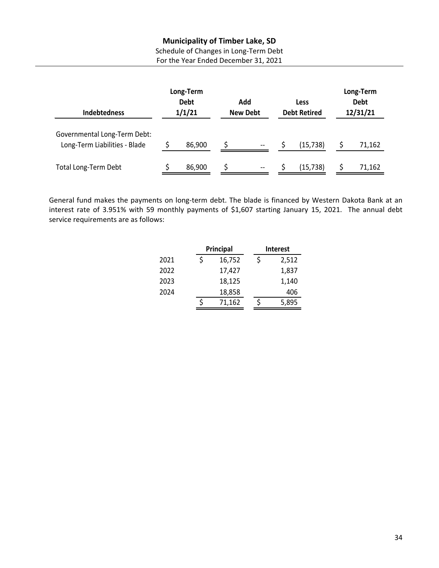| <b>Indebtedness</b>                                           | Long-Term<br><b>Debt</b><br>1/1/21 |        | Add<br><b>New Debt</b> | Less<br><b>Debt Retired</b> | Long-Term<br><b>Debt</b><br>12/31/21 |  |  |
|---------------------------------------------------------------|------------------------------------|--------|------------------------|-----------------------------|--------------------------------------|--|--|
| Governmental Long-Term Debt:<br>Long-Term Liabilities - Blade |                                    | 86,900 | $\qquad \qquad -$      | (15, 738)                   | 71,162                               |  |  |
| <b>Total Long-Term Debt</b>                                   |                                    | 86,900 | $- -$                  | (15, 738)                   | 71,162                               |  |  |

General fund makes the payments on long-term debt. The blade is financed by Western Dakota Bank at an interest rate of 3.951% with 59 monthly payments of \$1,607 starting January 15, 2021. The annual debt service requirements are as follows:

|      | Principal    | <b>Interest</b> |
|------|--------------|-----------------|
| 2021 | \$<br>16,752 | \$<br>2,512     |
| 2022 | 17,427       | 1,837           |
| 2023 | 18,125       | 1,140           |
| 2024 | 18,858       | 406             |
|      | 71,162       | 5,895           |
|      |              |                 |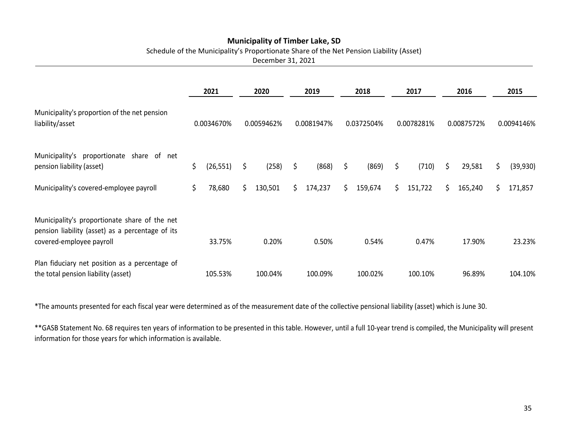Schedule of the Municipality's Proportionate Share of the Net Pension Liability (Asset) December 31, 2021

|                                                                                                                               | 2021            |    | 2020       |     | 2019       |     | 2018       |     | 2017       | 2016          |    | 2015       |
|-------------------------------------------------------------------------------------------------------------------------------|-----------------|----|------------|-----|------------|-----|------------|-----|------------|---------------|----|------------|
| Municipality's proportion of the net pension                                                                                  |                 |    |            |     |            |     |            |     |            |               |    |            |
| liability/asset                                                                                                               | 0.0034670%      |    | 0.0059462% |     | 0.0081947% |     | 0.0372504% |     | 0.0078281% | 0.0087572%    |    | 0.0094146% |
| Municipality's proportionate share of net<br>pension liability (asset)                                                        | \$<br>(26, 551) | \$ | (258)      | \$. | (868)      | \$  | (869)      | \$  | (710)      | \$<br>29,581  | S. | (39, 930)  |
| Municipality's covered-employee payroll                                                                                       | \$<br>78,680    | S. | 130,501    | S.  | 174,237    | \$. | 159,674    | \$. | 151,722    | \$<br>165,240 | S. | 171,857    |
| Municipality's proportionate share of the net<br>pension liability (asset) as a percentage of its<br>covered-employee payroll | 33.75%          |    | 0.20%      |     | 0.50%      |     | 0.54%      |     | 0.47%      | 17.90%        |    | 23.23%     |
| Plan fiduciary net position as a percentage of<br>the total pension liability (asset)                                         | 105.53%         |    | 100.04%    |     | 100.09%    |     | 100.02%    |     | 100.10%    | 96.89%        |    | 104.10%    |

\*The amounts presented for each fiscal year were determined as of the measurement date of the collective pensional liability (asset) which is June 30.

\*\*GASB Statement No. 68 requires ten years of information to be presented in this table. However, until a full 10‐year trend is compiled, the Municipality will present information for those years for which information is available.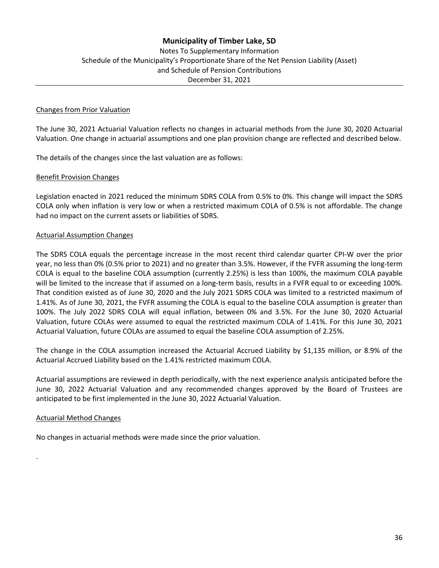Notes To Supplementary Information Schedule of the Municipality's Proportionate Share of the Net Pension Liability (Asset) and Schedule of Pension Contributions December 31, 2021

#### Changes from Prior Valuation

The June 30, 2021 Actuarial Valuation reflects no changes in actuarial methods from the June 30, 2020 Actuarial Valuation. One change in actuarial assumptions and one plan provision change are reflected and described below.

The details of the changes since the last valuation are as follows:

#### Benefit Provision Changes

Legislation enacted in 2021 reduced the minimum SDRS COLA from 0.5% to 0%. This change will impact the SDRS COLA only when inflation is very low or when a restricted maximum COLA of 0.5% is not affordable. The change had no impact on the current assets or liabilities of SDRS.

#### Actuarial Assumption Changes

The SDRS COLA equals the percentage increase in the most recent third calendar quarter CPI‐W over the prior year, no less than 0% (0.5% prior to 2021) and no greater than 3.5%. However, if the FVFR assuming the long-term COLA is equal to the baseline COLA assumption (currently 2.25%) is less than 100%, the maximum COLA payable will be limited to the increase that if assumed on a long-term basis, results in a FVFR equal to or exceeding 100%. That condition existed as of June 30, 2020 and the July 2021 SDRS COLA was limited to a restricted maximum of 1.41%. As of June 30, 2021, the FVFR assuming the COLA is equal to the baseline COLA assumption is greater than 100%. The July 2022 SDRS COLA will equal inflation, between 0% and 3.5%. For the June 30, 2020 Actuarial Valuation, future COLAs were assumed to equal the restricted maximum COLA of 1.41%. For this June 30, 2021 Actuarial Valuation, future COLAs are assumed to equal the baseline COLA assumption of 2.25%.

The change in the COLA assumption increased the Actuarial Accrued Liability by \$1,135 million, or 8.9% of the Actuarial Accrued Liability based on the 1.41% restricted maximum COLA.

Actuarial assumptions are reviewed in depth periodically, with the next experience analysis anticipated before the June 30, 2022 Actuarial Valuation and any recommended changes approved by the Board of Trustees are anticipated to be first implemented in the June 30, 2022 Actuarial Valuation.

#### Actuarial Method Changes

.

No changes in actuarial methods were made since the prior valuation.